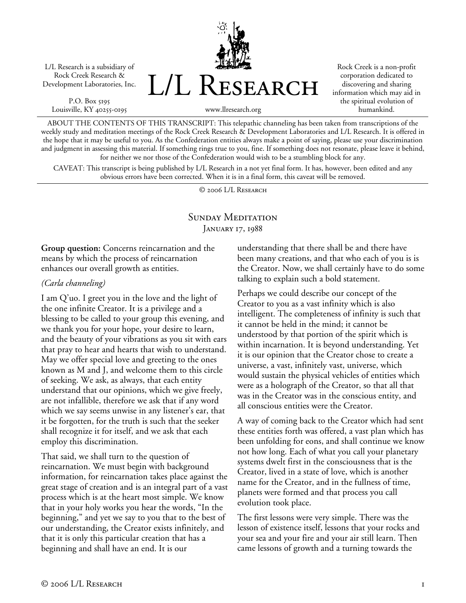L/L Research is a subsidiary of Rock Creek Research & Development Laboratories, Inc.

P.O. Box 5195 Louisville, KY 40255-0195



Rock Creek is a non-profit corporation dedicated to discovering and sharing information which may aid in the spiritual evolution of humankind.

www.llresearch.org

ABOUT THE CONTENTS OF THIS TRANSCRIPT: This telepathic channeling has been taken from transcriptions of the weekly study and meditation meetings of the Rock Creek Research & Development Laboratories and L/L Research. It is offered in the hope that it may be useful to you. As the Confederation entities always make a point of saying, please use your discrimination and judgment in assessing this material. If something rings true to you, fine. If something does not resonate, please leave it behind, for neither we nor those of the Confederation would wish to be a stumbling block for any.

CAVEAT: This transcript is being published by L/L Research in a not yet final form. It has, however, been edited and any obvious errors have been corrected. When it is in a final form, this caveat will be removed.

© 2006 L/L Research

## SUNDAY MEDITATION JANUARY 17, 1988

**Group question:** Concerns reincarnation and the means by which the process of reincarnation enhances our overall growth as entities.

## *(Carla channeling)*

I am Q'uo. I greet you in the love and the light of the one infinite Creator. It is a privilege and a blessing to be called to your group this evening, and we thank you for your hope, your desire to learn, and the beauty of your vibrations as you sit with ears that pray to hear and hearts that wish to understand. May we offer special love and greeting to the ones known as M and J, and welcome them to this circle of seeking. We ask, as always, that each entity understand that our opinions, which we give freely, are not infallible, therefore we ask that if any word which we say seems unwise in any listener's ear, that it be forgotten, for the truth is such that the seeker shall recognize it for itself, and we ask that each employ this discrimination.

That said, we shall turn to the question of reincarnation. We must begin with background information, for reincarnation takes place against the great stage of creation and is an integral part of a vast process which is at the heart most simple. We know that in your holy works you hear the words, "In the beginning," and yet we say to you that to the best of our understanding, the Creator exists infinitely, and that it is only this particular creation that has a beginning and shall have an end. It is our

understanding that there shall be and there have been many creations, and that who each of you is is the Creator. Now, we shall certainly have to do some talking to explain such a bold statement.

Perhaps we could describe our concept of the Creator to you as a vast infinity which is also intelligent. The completeness of infinity is such that it cannot be held in the mind; it cannot be understood by that portion of the spirit which is within incarnation. It is beyond understanding. Yet it is our opinion that the Creator chose to create a universe, a vast, infinitely vast, universe, which would sustain the physical vehicles of entities which were as a holograph of the Creator, so that all that was in the Creator was in the conscious entity, and all conscious entities were the Creator.

A way of coming back to the Creator which had sent these entities forth was offered, a vast plan which has been unfolding for eons, and shall continue we know not how long. Each of what you call your planetary systems dwelt first in the consciousness that is the Creator, lived in a state of love, which is another name for the Creator, and in the fullness of time, planets were formed and that process you call evolution took place.

The first lessons were very simple. There was the lesson of existence itself, lessons that your rocks and your sea and your fire and your air still learn. Then came lessons of growth and a turning towards the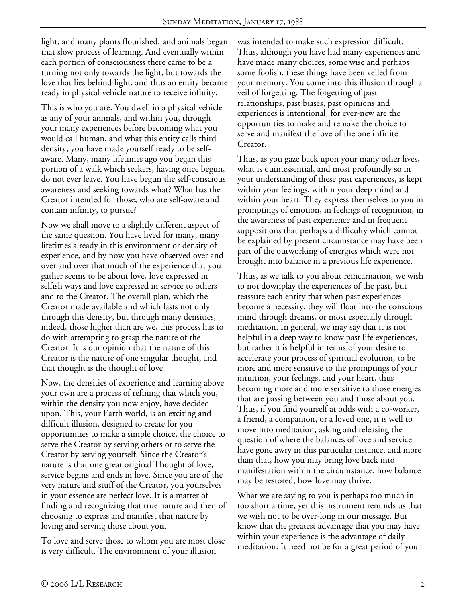light, and many plants flourished, and animals began that slow process of learning. And eventually within each portion of consciousness there came to be a turning not only towards the light, but towards the love that lies behind light, and thus an entity became ready in physical vehicle nature to receive infinity.

This is who you are. You dwell in a physical vehicle as any of your animals, and within you, through your many experiences before becoming what you would call human, and what this entity calls third density, you have made yourself ready to be selfaware. Many, many lifetimes ago you began this portion of a walk which seekers, having once begun, do not ever leave. You have begun the self-conscious awareness and seeking towards what? What has the Creator intended for those, who are self-aware and contain infinity, to pursue?

Now we shall move to a slightly different aspect of the same question. You have lived for many, many lifetimes already in this environment or density of experience, and by now you have observed over and over and over that much of the experience that you gather seems to be about love, love expressed in selfish ways and love expressed in service to others and to the Creator. The overall plan, which the Creator made available and which lasts not only through this density, but through many densities, indeed, those higher than are we, this process has to do with attempting to grasp the nature of the Creator. It is our opinion that the nature of this Creator is the nature of one singular thought, and that thought is the thought of love.

Now, the densities of experience and learning above your own are a process of refining that which you, within the density you now enjoy, have decided upon. This, your Earth world, is an exciting and difficult illusion, designed to create for you opportunities to make a simple choice, the choice to serve the Creator by serving others or to serve the Creator by serving yourself. Since the Creator's nature is that one great original Thought of love, service begins and ends in love. Since you are of the very nature and stuff of the Creator, you yourselves in your essence are perfect love. It is a matter of finding and recognizing that true nature and then of choosing to express and manifest that nature by loving and serving those about you.

To love and serve those to whom you are most close is very difficult. The environment of your illusion

was intended to make such expression difficult. Thus, although you have had many experiences and have made many choices, some wise and perhaps some foolish, these things have been veiled from your memory. You come into this illusion through a veil of forgetting. The forgetting of past relationships, past biases, past opinions and experiences is intentional, for ever-new are the opportunities to make and remake the choice to serve and manifest the love of the one infinite Creator.

Thus, as you gaze back upon your many other lives, what is quintessential, and most profoundly so in your understanding of these past experiences, is kept within your feelings, within your deep mind and within your heart. They express themselves to you in promptings of emotion, in feelings of recognition, in the awareness of past experience and in frequent suppositions that perhaps a difficulty which cannot be explained by present circumstance may have been part of the outworking of energies which were not brought into balance in a previous life experience.

Thus, as we talk to you about reincarnation, we wish to not downplay the experiences of the past, but reassure each entity that when past experiences become a necessity, they will float into the conscious mind through dreams, or most especially through meditation. In general, we may say that it is not helpful in a deep way to know past life experiences, but rather it is helpful in terms of your desire to accelerate your process of spiritual evolution, to be more and more sensitive to the promptings of your intuition, your feelings, and your heart, thus becoming more and more sensitive to those energies that are passing between you and those about you. Thus, if you find yourself at odds with a co-worker, a friend, a companion, or a loved one, it is well to move into meditation, asking and releasing the question of where the balances of love and service have gone awry in this particular instance, and more than that, how you may bring love back into manifestation within the circumstance, how balance may be restored, how love may thrive.

What we are saying to you is perhaps too much in too short a time, yet this instrument reminds us that we wish not to be over-long in our message. But know that the greatest advantage that you may have within your experience is the advantage of daily meditation. It need not be for a great period of your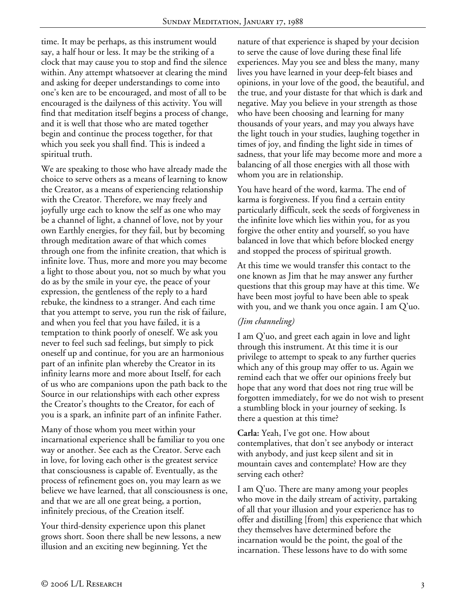time. It may be perhaps, as this instrument would say, a half hour or less. It may be the striking of a clock that may cause you to stop and find the silence within. Any attempt whatsoever at clearing the mind and asking for deeper understandings to come into one's ken are to be encouraged, and most of all to be encouraged is the dailyness of this activity. You will find that meditation itself begins a process of change, and it is well that those who are mated together begin and continue the process together, for that which you seek you shall find. This is indeed a spiritual truth.

We are speaking to those who have already made the choice to serve others as a means of learning to know the Creator, as a means of experiencing relationship with the Creator. Therefore, we may freely and joyfully urge each to know the self as one who may be a channel of light, a channel of love, not by your own Earthly energies, for they fail, but by becoming through meditation aware of that which comes through one from the infinite creation, that which is infinite love. Thus, more and more you may become a light to those about you, not so much by what you do as by the smile in your eye, the peace of your expression, the gentleness of the reply to a hard rebuke, the kindness to a stranger. And each time that you attempt to serve, you run the risk of failure, and when you feel that you have failed, it is a temptation to think poorly of oneself. We ask you never to feel such sad feelings, but simply to pick oneself up and continue, for you are an harmonious part of an infinite plan whereby the Creator in its infinity learns more and more about Itself, for each of us who are companions upon the path back to the Source in our relationships with each other express the Creator's thoughts to the Creator, for each of you is a spark, an infinite part of an infinite Father.

Many of those whom you meet within your incarnational experience shall be familiar to you one way or another. See each as the Creator. Serve each in love, for loving each other is the greatest service that consciousness is capable of. Eventually, as the process of refinement goes on, you may learn as we believe we have learned, that all consciousness is one, and that we are all one great being, a portion, infinitely precious, of the Creation itself.

Your third-density experience upon this planet grows short. Soon there shall be new lessons, a new illusion and an exciting new beginning. Yet the

nature of that experience is shaped by your decision to serve the cause of love during these final life experiences. May you see and bless the many, many lives you have learned in your deep-felt biases and opinions, in your love of the good, the beautiful, and the true, and your distaste for that which is dark and negative. May you believe in your strength as those who have been choosing and learning for many thousands of your years, and may you always have the light touch in your studies, laughing together in times of joy, and finding the light side in times of sadness, that your life may become more and more a balancing of all those energies with all those with whom you are in relationship.

You have heard of the word, karma. The end of karma is forgiveness. If you find a certain entity particularly difficult, seek the seeds of forgiveness in the infinite love which lies within you, for as you forgive the other entity and yourself, so you have balanced in love that which before blocked energy and stopped the process of spiritual growth.

At this time we would transfer this contact to the one known as Jim that he may answer any further questions that this group may have at this time. We have been most joyful to have been able to speak with you, and we thank you once again. I am Q'uo.

## *(Jim channeling)*

I am Q'uo, and greet each again in love and light through this instrument. At this time it is our privilege to attempt to speak to any further queries which any of this group may offer to us. Again we remind each that we offer our opinions freely but hope that any word that does not ring true will be forgotten immediately, for we do not wish to present a stumbling block in your journey of seeking. Is there a question at this time?

**Carla:** Yeah, I've got one. How about contemplatives, that don't see anybody or interact with anybody, and just keep silent and sit in mountain caves and contemplate? How are they serving each other?

I am Q'uo. There are many among your peoples who move in the daily stream of activity, partaking of all that your illusion and your experience has to offer and distilling [from] this experience that which they themselves have determined before the incarnation would be the point, the goal of the incarnation. These lessons have to do with some